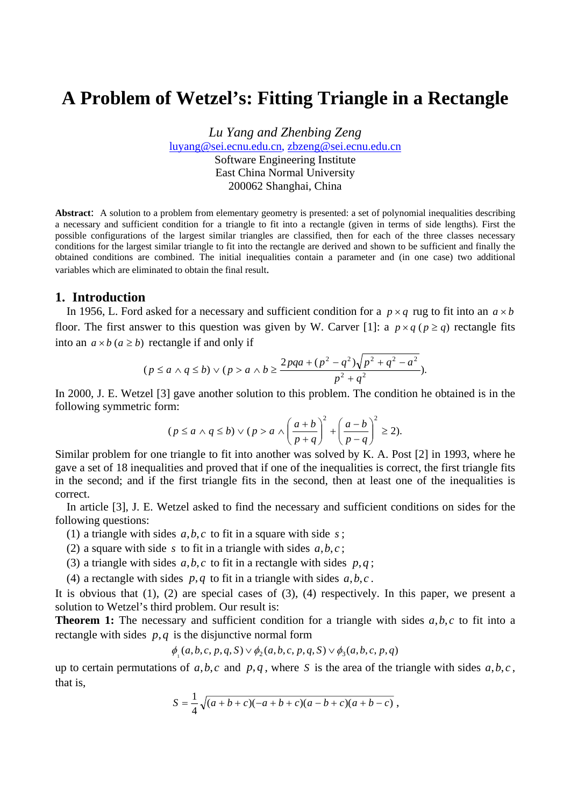# **A Problem of Wetzel's: Fitting Triangle in a Rectangle**

*Lu Yang and Zhenbing Zeng*  [luyang@sei.ecnu.edu.cn](mailto:luyang@sei.ecnu.edu.cn), [zbzeng@sei.ecnu.edu.cn](mailto:zbzeng@sei.ecnu.edu.cn)  Software Engineering Institute East China Normal University 200062 Shanghai, China

**Abstract**: A solution to a problem from elementary geometry is presented: a set of polynomial inequalities describing a necessary and sufficient condition for a triangle to fit into a rectangle (given in terms of side lengths). First the possible configurations of the largest similar triangles are classified, then for each of the three classes necessary conditions for the largest similar triangle to fit into the rectangle are derived and shown to be sufficient and finally the obtained conditions are combined. The initial inequalities contain a parameter and (in one case) two additional variables which are eliminated to obtain the final result.

#### **1. Introduction**

In 1956, L. Ford asked for a necessary and sufficient condition for a  $p \times q$  rug to fit into an  $a \times b$ floor. The first answer to this question was given by W. Carver [1]: a  $p \times q$  ( $p \ge q$ ) rectangle fits into an  $a \times b$  ( $a \ge b$ ) rectangle if and only if

$$
(p \le a \land q \le b) \lor (p > a \land b \ge \frac{2pq^2 + (p^2 - q^2)\sqrt{p^2 + q^2 - a^2}}{p^2 + q^2}).
$$

In 2000, J. E. Wetzel [3] gave another solution to this problem. The condition he obtained is in the following symmetric form:

$$
(p \le a \land q \le b) \lor (p > a \land \left(\frac{a+b}{p+q}\right)^2 + \left(\frac{a-b}{p-q}\right)^2 \ge 2).
$$

Similar problem for one triangle to fit into another was solved by K. A. Post [2] in 1993, where he gave a set of 18 inequalities and proved that if one of the inequalities is correct, the first triangle fits in the second; and if the first triangle fits in the second, then at least one of the inequalities is correct.

In article [3], J. E. Wetzel asked to find the necessary and sufficient conditions on sides for the following questions:

- (1) a triangle with sides  $a, b, c$  to fit in a square with side  $s$ ;
- (2) a square with side *s* to fit in a triangle with sides  $a, b, c$ ;
- (3) a triangle with sides  $a, b, c$  to fit in a rectangle with sides  $p, q$ ;
- (4) a rectangle with sides  $p, q$  to fit in a triangle with sides  $a, b, c$ .

It is obvious that (1), (2) are special cases of (3), (4) respectively. In this paper, we present a solution to Wetzel's third problem. Our result is:

**Theorem 1:** The necessary and sufficient condition for a triangle with sides  $a, b, c$  to fit into a rectangle with sides *p*,*q* is the disjunctive normal form

$$
\phi_{\mathbf{1}}(a,b,c,p,q,S) \lor \phi_{\mathbf{2}}(a,b,c,p,q,S) \lor \phi_{\mathbf{3}}(a,b,c,p,q)
$$

up to certain permutations of  $a, b, c$  and  $p, q$ , where S is the area of the triangle with sides  $a, b, c$ , that is,

$$
S = \frac{1}{4}\sqrt{(a+b+c)(-a+b+c)(a-b+c)(a+b-c)},
$$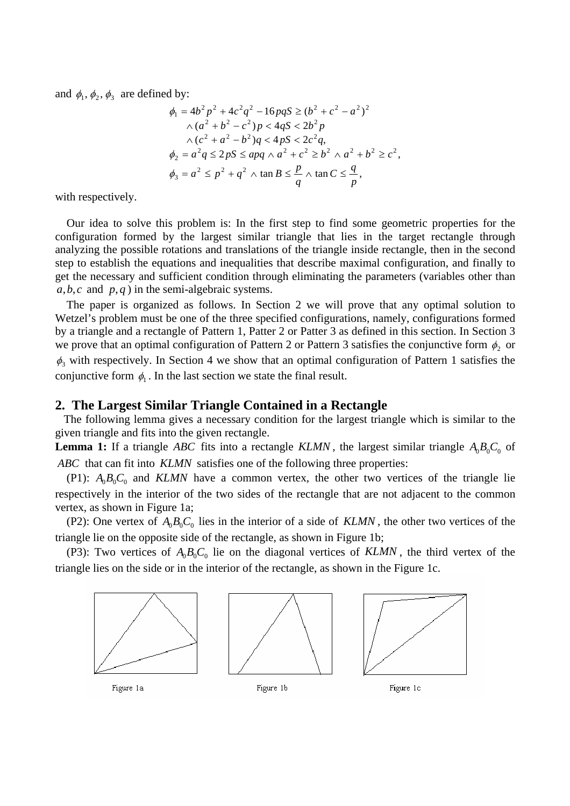and  $\phi_1$ ,  $\phi_2$ ,  $\phi_3$  are defined by:

$$
\phi_1 = 4b^2 p^2 + 4c^2 q^2 - 16p q S \ge (b^2 + c^2 - a^2)^2
$$
  
\n
$$
\wedge (a^2 + b^2 - c^2) p < 4q S < 2b^2 p
$$
  
\n
$$
\wedge (c^2 + a^2 - b^2) q < 4p S < 2c^2 q,
$$
  
\n
$$
\phi_2 = a^2 q \le 2p S \le apq \wedge a^2 + c^2 \ge b^2 \wedge a^2 + b^2 \ge c^2,
$$
  
\n
$$
\phi_3 = a^2 \le p^2 + q^2 \wedge \tan B \le \frac{p}{q} \wedge \tan C \le \frac{q}{p},
$$

with respectively.

Our idea to solve this problem is: In the first step to find some geometric properties for the configuration formed by the largest similar triangle that lies in the target rectangle through analyzing the possible rotations and translations of the triangle inside rectangle, then in the second step to establish the equations and inequalities that describe maximal configuration, and finally to get the necessary and sufficient condition through eliminating the parameters (variables other than  $a, b, c$  and  $p, q$  ) in the semi-algebraic systems.

The paper is organized as follows. In Section 2 we will prove that any optimal solution to Wetzel's problem must be one of the three specified configurations, namely, configurations formed by a triangle and a rectangle of Pattern 1, Patter 2 or Patter 3 as defined in this section. In Section 3 we prove that an optimal configuration of Pattern 2 or Pattern 3 satisfies the conjunctive form  $\phi_2$  or  $\phi_3$  with respectively. In Section 4 we show that an optimal configuration of Pattern 1 satisfies the conjunctive form  $\phi_1$ . In the last section we state the final result.

### **2. The Largest Similar Triangle Contained in a Rectangle**

The following lemma gives a necessary condition for the largest triangle which is similar to the given triangle and fits into the given rectangle.

**Lemma 1:** If a triangle *ABC* fits into a rectangle *KLMN*, the largest similar triangle  $A_0B_0C_0$  of ABC that can fit into KLMN satisfies one of the following three properties:

(P1):  $A_0B_0C_0$  and *KLMN* have a common vertex, the other two vertices of the triangle lie respectively in the interior of the two sides of the rectangle that are not adjacent to the common vertex, as shown in Figure 1a;

(P2): One vertex of  $A_0B_0C_0$  lies in the interior of a side of *KLMN*, the other two vertices of the triangle lie on the opposite side of the rectangle, as shown in Figure 1b;

(P3): Two vertices of  $A_0B_0C_0$  lie on the diagonal vertices of *KLMN*, the third vertex of the triangle lies on the side or in the interior of the rectangle, as shown in the Figure 1c.

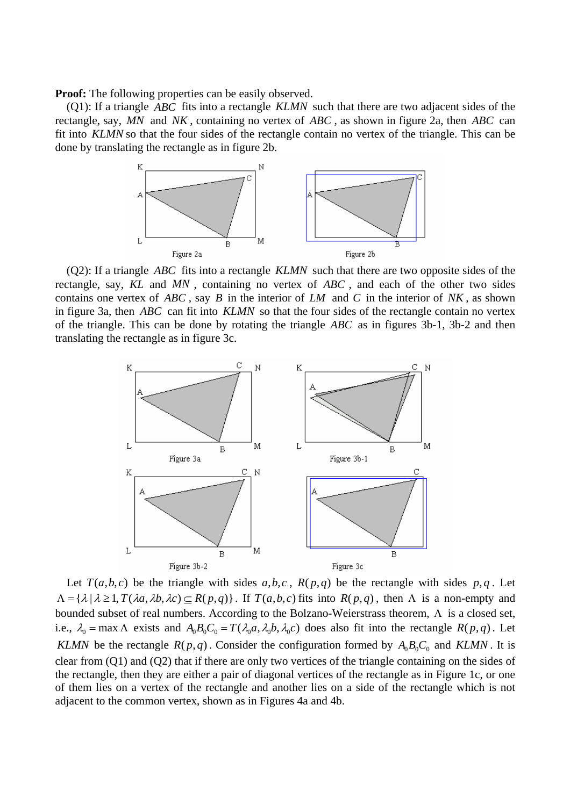**Proof:** The following properties can be easily observed.

(Q1): If a triangle *ABC* fits into a rectangle *KLMN* such that there are two adjacent sides of the rectangle, say, MN and NK, containing no vertex of ABC, as shown in figure 2a, then ABC can fit into *KLMN* so that the four sides of the rectangle contain no vertex of the triangle. This can be done by translating the rectangle as in figure 2b.



(Q2): If a triangle *ABC* fits into a rectangle *KLMN* such that there are two opposite sides of the rectangle, say, *KL* and *MN* , containing no vertex of *ABC* , and each of the other two sides contains one vertex of *ABC* , say *B* in the interior of *LM* and *C* in the interior of *NK* , as shown in figure 3a, then *ABC* can fit into *KLMN* so that the four sides of the rectangle contain no vertex of the triangle. This can be done by rotating the triangle ABC as in figures 3b-1, 3b-2 and then translating the rectangle as in figure 3c.



Let  $T(a,b,c)$  be the triangle with sides  $a,b,c$ ,  $R(p,q)$  be the rectangle with sides  $p,q$ . Let  $\Lambda = {\lambda | \lambda \geq 1, T(\lambda a, \lambda b, \lambda c) \subseteq R(p, q)}$ . If  $T(a, b, c)$  fits into  $R(p, q)$ , then  $\Lambda$  is a non-empty and bounded subset of real numbers. According to the Bolzano-Weierstrass theorem,  $\Lambda$  is a closed set, i.e.,  $\lambda_0 = \max \Lambda$  exists and  $A_0 B_0 C_0 = T(\lambda_0 a, \lambda_0 b, \lambda_0 c)$  does also fit into the rectangle  $R(p, q)$ . Let *KLMN* be the rectangle  $R(p,q)$ . Consider the configuration formed by  $A_0B_0C_0$  and *KLMN*. It is clear from (Q1) and (Q2) that if there are only two vertices of the triangle containing on the sides of the rectangle, then they are either a pair of diagonal vertices of the rectangle as in Figure 1c, or one of them lies on a vertex of the rectangle and another lies on a side of the rectangle which is not adjacent to the common vertex, shown as in Figures 4a and 4b.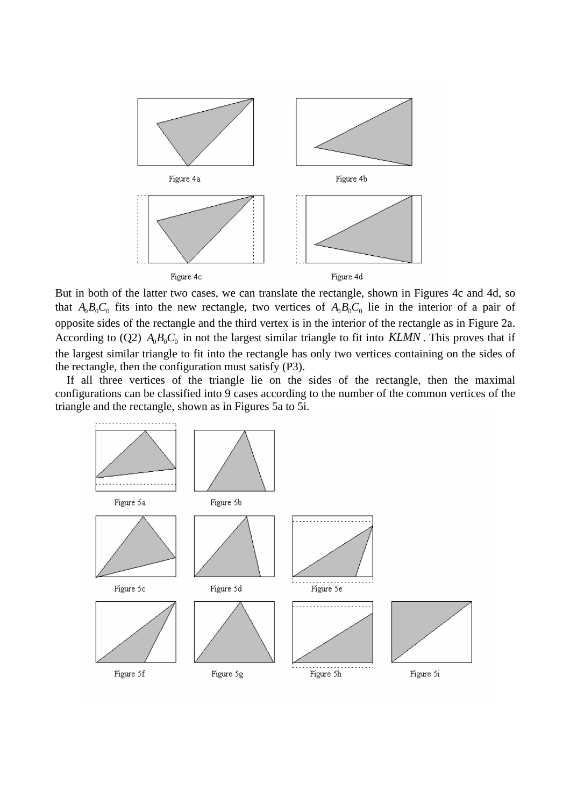

But in both of the latter two cases, we can translate the rectangle, shown in Figures 4c and 4d, so that  $A_0B_0C_0$  fits into the new rectangle, two vertices of  $A_0B_0C_0$  lie in the interior of a pair of opposite sides of the rectangle and the third vertex is in the interior of the rectangle as in Figure 2a. According to (Q2)  $A_0B_0C_0$  in not the largest similar triangle to fit into *KLMN*. This proves that if the largest similar triangle to fit into the rectangle has only two vertices containing on the sides of the rectangle, then the configuration must satisfy (P3).

If all three vertices of the triangle lie on the sides of the rectangle, then the maximal configurations can be classified into 9 cases according to the number of the common vertices of the triangle and the rectangle, shown as in Figures 5a to 5i.

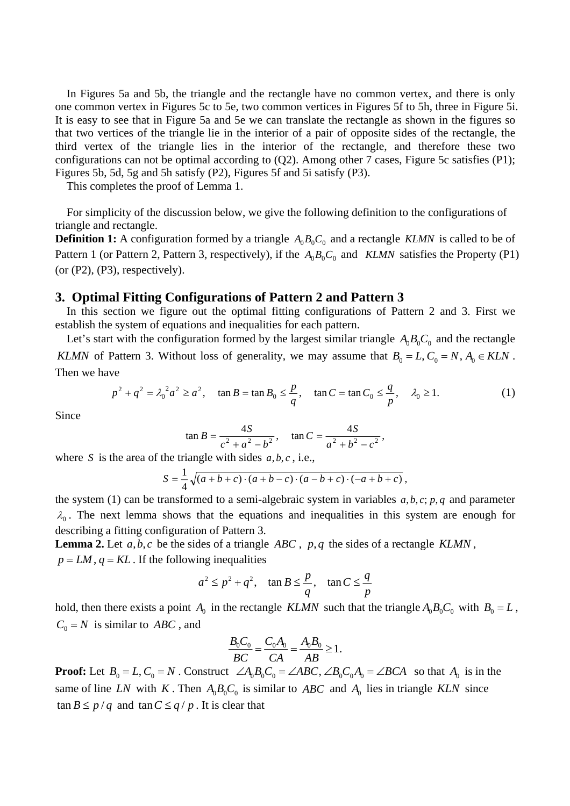In Figures 5a and 5b, the triangle and the rectangle have no common vertex, and there is only one common vertex in Figures 5c to 5e, two common vertices in Figures 5f to 5h, three in Figure 5i. It is easy to see that in Figure 5a and 5e we can translate the rectangle as shown in the figures so that two vertices of the triangle lie in the interior of a pair of opposite sides of the rectangle, the third vertex of the triangle lies in the interior of the rectangle, and therefore these two configurations can not be optimal according to (Q2). Among other 7 cases, Figure 5c satisfies (P1); Figures 5b, 5d, 5g and 5h satisfy (P2), Figures 5f and 5i satisfy (P3).

This completes the proof of Lemma 1.

For simplicity of the discussion below, we give the following definition to the configurations of triangle and rectangle.

**Definition 1:** A configuration formed by a triangle  $A_0B_0C_0$  and a rectangle *KLMN* is called to be of Pattern 1 (or Pattern 2, Pattern 3, respectively), if the  $A_0B_0C_0$  and *KLMN* satisfies the Property (P1)  $(or (P2), (P3), respectively).$ 

# **3. Optimal Fitting Configurations of Pattern 2 and Pattern 3**

In this section we figure out the optimal fitting configurations of Pattern 2 and 3. First we establish the system of equations and inequalities for each pattern.

Let's start with the configuration formed by the largest similar triangle  $A_0B_0C_0$  and the rectangle *KLMN* of Pattern 3. Without loss of generality, we may assume that  $B_0 = L$ ,  $C_0 = N$ ,  $A_0 \in KLN$ . Then we have

$$
p^{2} + q^{2} = \lambda_{0}^{2} a^{2} \ge a^{2}, \quad \tan B = \tan B_{0} \le \frac{p}{q}, \quad \tan C = \tan C_{0} \le \frac{q}{p}, \quad \lambda_{0} \ge 1.
$$
 (1)

Since

$$
\tan B = \frac{4S}{c^2 + a^2 - b^2}, \quad \tan C = \frac{4S}{a^2 + b^2 - c^2},
$$

where *S* is the area of the triangle with sides  $a, b, c$ , i.e.,

$$
S = \frac{1}{4}\sqrt{(a+b+c)\cdot(a+b-c)\cdot(a-b+c)\cdot(-a+b+c)},
$$

the system (1) can be transformed to a semi-algebraic system in variables *a*, *b*, *c*; *p*, *q* and parameter  $\lambda_0$ . The next lemma shows that the equations and inequalities in this system are enough for describing a fitting configuration of Pattern 3.

**Lemma 2.** Let *a*,*b*, *c* be the sides of a triangle *ABC* , *p*,*q* the sides of a rectangle *KLMN* ,  $p = LM$ ,  $q = KL$ . If the following inequalities

$$
a^2 \le p^2 + q^2
$$
,  $\tan B \le \frac{p}{q}$ ,  $\tan C \le \frac{q}{p}$ 

hold, then there exists a point  $A_0$  in the rectangle *KLMN* such that the triangle  $A_0B_0C_0$  with  $B_0 = L$ ,  $C_0 = N$  is similar to *ABC*, and

$$
\frac{B_0 C_0}{BC} = \frac{C_0 A_0}{CA} = \frac{A_0 B_0}{AB} \ge 1.
$$

**Proof:** Let  $B_0 = L$ ,  $C_0 = N$ . Construct  $\angle A_0 B_0 C_0 = \angle ABC$ ,  $\angle B_0 C_0 A_0 = \angle BCA$  so that  $A_0$  is in the same of line LN with K. Then  $A_0B_0C_0$  is similar to ABC and  $A_0$  lies in triangle KLN since  $\tan B \leq p / q$  and  $\tan C \leq q / p$ . It is clear that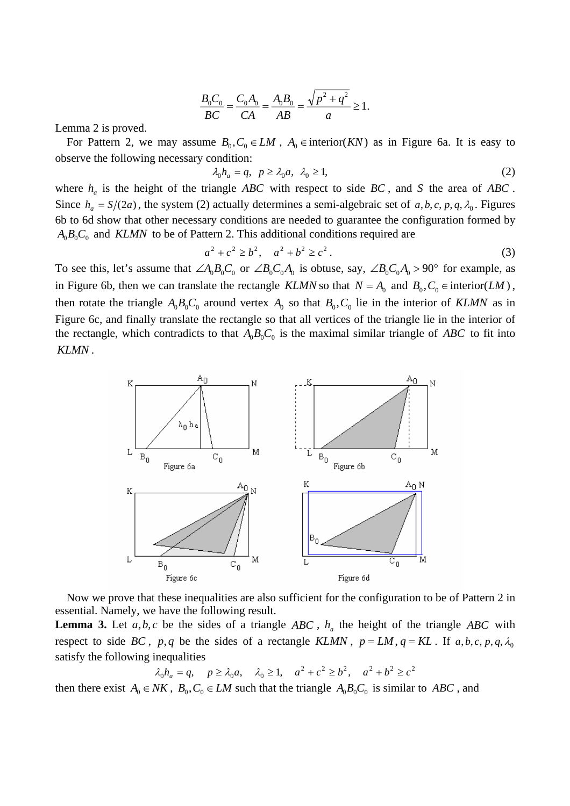$$
\frac{B_0 C_0}{BC} = \frac{C_0 A_0}{CA} = \frac{A_0 B_0}{AB} = \frac{\sqrt{p^2 + q^2}}{a} \ge 1.
$$

Lemma 2 is proved.

For Pattern 2, we may assume  $B_0, C_0 \in LM$ ,  $A_0 \in \text{interior}(KN)$  as in Figure 6a. It is easy to observe the following necessary condition:

$$
\lambda_0 h_a = q, \ p \ge \lambda_0 a, \ \lambda_0 \ge 1,\tag{2}
$$

where  $h_a$  is the height of the triangle *ABC* with respect to side *BC*, and *S* the area of *ABC*. Since  $h_a = S/(2a)$ , the system (2) actually determines a semi-algebraic set of a, b, c, p, q,  $\lambda_0$ . Figures 6b to 6d show that other necessary conditions are needed to guarantee the configuration formed by  $A_0B_0C_0$  and *KLMN* to be of Pattern 2. This additional conditions required are

$$
a^2 + c^2 \ge b^2, \quad a^2 + b^2 \ge c^2. \tag{3}
$$

To see this, let's assume that  $\angle A_0B_0C_0$  or  $\angle B_0C_0A_0$  is obtuse, say,  $\angle B_0C_0A_0 > 90^\circ$  for example, as in Figure 6b, then we can translate the rectangle *KLMN* so that  $N = A_0$  and  $B_0, C_0 \in$  interior(*LM*), then rotate the triangle  $A_0B_0C_0$  around vertex  $A_0$  so that  $B_0$ ,  $C_0$  lie in the interior of *KLMN* as in Figure 6c, and finally translate the rectangle so that all vertices of the triangle lie in the interior of the rectangle, which contradicts to that  $A_0B_0C_0$  is the maximal similar triangle of *ABC* to fit into *KLMN* .



Now we prove that these inequalities are also sufficient for the configuration to be of Pattern 2 in essential. Namely, we have the following result.

**Lemma 3.** Let  $a, b, c$  be the sides of a triangle *ABC*,  $h_a$  the height of the triangle *ABC* with respect to side BC, p,q be the sides of a rectangle KLMN,  $p = LM$ ,  $q = KL$ . If  $a, b, c, p, q, \lambda_0$ satisfy the following inequalities

 $\lambda_0 h_a = q, \quad p \ge \lambda_0 a, \quad \lambda_0 \ge 1, \quad a^2 + c^2 \ge b^2, \quad a^2 + b^2 \ge c^2$ 

then there exist  $A_0 \in NK$ ,  $B_0, C_0 \in LM$  such that the triangle  $A_0B_0C_0$  is similar to *ABC*, and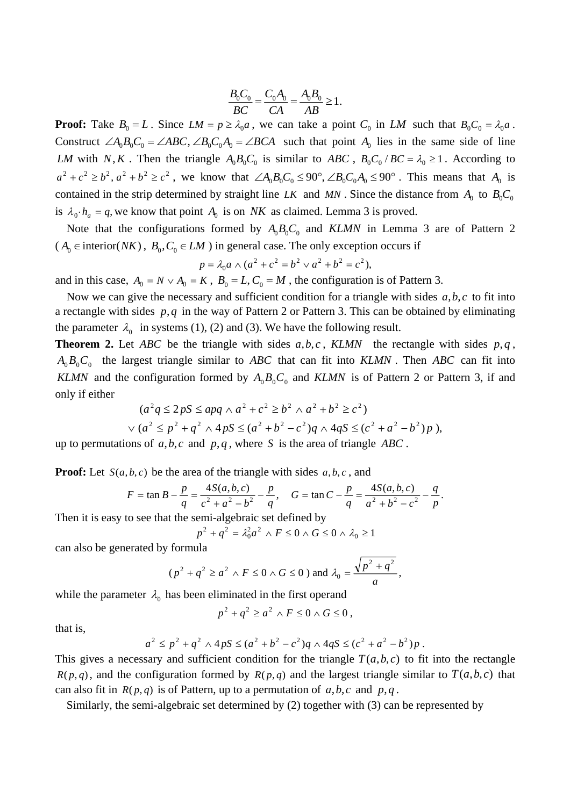$$
\frac{B_0 C_0}{BC} = \frac{C_0 A_0}{CA} = \frac{A_0 B_0}{AB} \ge 1.
$$

**Proof:** Take  $B_0 = L$ . Since  $LM = p \geq \lambda_0 a$ , we can take a point  $C_0$  in LM such that  $B_0C_0 = \lambda_0 a$ . Construct  $\angle A_0B_0C_0 = \angle ABC$ ,  $\angle B_0C_0A_0 = \angle BCA$  such that point  $A_0$  lies in the same side of line *LM* with N,K. Then the triangle  $A_0B_0C_0$  is similar to ABC,  $B_0C_0$  / BC =  $\lambda_0 \ge 1$ . According to  $a^2 + c^2 \ge b^2$ ,  $a^2 + b^2 \ge c^2$ , we know that  $\angle A_0 B_0 C_0 \le 90^\circ$ ,  $\angle B_0 C_0 A_0 \le 90^\circ$ . This means that  $A_0$  is contained in the strip determined by straight line *LK* and *MN*. Since the distance from  $A_0$  to  $B_0C_0$ is  $\lambda_0 \cdot h_a = q$ , we know that point  $A_0$  is on *NK* as claimed. Lemma 3 is proved.

Note that the configurations formed by  $A_0B_0C_0$  and *KLMN* in Lemma 3 are of Pattern 2 ( $A_0 \in \text{interior}(NK)$ ,  $B_0, C_0 \in LM$ ) in general case. The only exception occurs if

$$
p = \lambda_0 a \wedge (a^2 + c^2 = b^2 \vee a^2 + b^2 = c^2),
$$

and in this case,  $A_0 = N \vee A_0 = K$ ,  $B_0 = L$ ,  $C_0 = M$ , the configuration is of Pattern 3.

Now we can give the necessary and sufficient condition for a triangle with sides  $a, b, c$  to fit into a rectangle with sides *p*,*q* in the way of Pattern 2 or Pattern 3. This can be obtained by eliminating the parameter  $\lambda_0$  in systems (1), (2) and (3). We have the following result.

**Theorem 2.** Let *ABC* be the triangle with sides  $a, b, c$ , *KLMN* the rectangle with sides  $p, q$ ,  $A_0 B_0 C_0$  the largest triangle similar to *ABC* that can fit into *KLMN*. Then *ABC* can fit into KLMN and the configuration formed by  $A_0 B_0 C_0$  and KLMN is of Pattern 2 or Pattern 3, if and only if either

$$
(a2q \le 2pS \le apq \land a2 + c2 \ge b2 \land a2 + b2 \ge c2)
$$
  
 
$$
\lor (a2 \le p2 + q2 \land 4pS \le (a2 + b2 - c2)q \land 4qS \le (c2 + a2 - b2)p),
$$

up to permutations of  $a, b, c$  and  $p, q$ , where *S* is the area of triangle *ABC*.

**Proof:** Let  $S(a, b, c)$  be the area of the triangle with sides  $a, b, c$ , and

$$
F = \tan B - \frac{p}{q} = \frac{4S(a,b,c)}{c^2 + a^2 - b^2} - \frac{p}{q}, \quad G = \tan C - \frac{p}{q} = \frac{4S(a,b,c)}{a^2 + b^2 - c^2} - \frac{q}{p}.
$$

Then it is easy to see that the semi-algebraic set defined by

$$
p^2 + q^2 = \lambda_0^2 a^2 \wedge F \le 0 \wedge G \le 0 \wedge \lambda_0 \ge 1
$$

can also be generated by formula

$$
(p2 + q2 \ge a2 \wedge F \le 0 \wedge G \le 0) \text{ and } \lambda_0 = \frac{\sqrt{p^2 + q^2}}{a},
$$

while the parameter  $\lambda_0$  has been eliminated in the first operand

$$
p^2 + q^2 \ge a^2 \wedge F \le 0 \wedge G \le 0,
$$

that is,

$$
a^{2} \le p^{2} + q^{2} \wedge 4pS \le (a^{2} + b^{2} - c^{2})q \wedge 4qS \le (c^{2} + a^{2} - b^{2})p.
$$

This gives a necessary and sufficient condition for the triangle  $T(a,b,c)$  to fit into the rectangle  $R(p,q)$ , and the configuration formed by  $R(p,q)$  and the largest triangle similar to  $T(a,b,c)$  that can also fit in  $R(p,q)$  is of Pattern, up to a permutation of  $a,b,c$  and  $p,q$ .

Similarly, the semi-algebraic set determined by (2) together with (3) can be represented by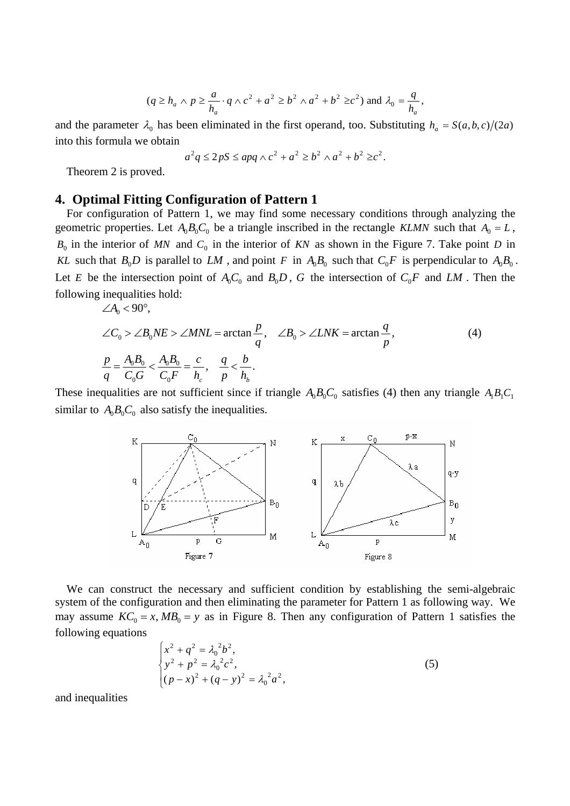$$
(q \ge h_a \land p \ge \frac{a}{h_a} \cdot q \land c^2 + a^2 \ge b^2 \land a^2 + b^2 \ge c^2) \text{ and } \lambda_0 = \frac{q}{h_a},
$$

and the parameter  $\lambda_0$  has been eliminated in the first operand, too. Substituting  $h_a = S(a, b, c)/(2a)$ into this formula we obtain

$$
a2q \le 2pS \le apq \wedge c2 + a2 \ge b2 \wedge a2 + b2 \ge c2.
$$

Theorem 2 is proved.

#### **4. Optimal Fitting Configuration of Pattern 1**

For configuration of Pattern 1, we may find some necessary conditions through analyzing the geometric properties. Let  $A_0 B_0 C_0$  be a triangle inscribed in the rectangle *KLMN* such that  $A_0 = L$ ,  $B_0$  in the interior of *MN* and  $C_0$  in the interior of *KN* as shown in the Figure 7. Take point *D* in *KL* such that  $B_0D$  is parallel to LM, and point F in  $A_0B_0$  such that  $C_0F$  is perpendicular to  $A_0B_0$ . Let E be the intersection point of  $A_0C_0$  and  $B_0D$ , G the intersection of  $C_0F$  and  $LM$ . Then the following inequalities hold:

$$
\angle A_0 < 90^\circ,
$$
\n
$$
\angle C_0 > \angle B_0 N E > \angle M N L = \arctan \frac{p}{q}, \quad \angle B_0 > \angle L N K = \arctan \frac{q}{p},
$$
\n
$$
\frac{p}{q} = \frac{A_0 B_0}{C_0 G} < \frac{A_0 B_0}{C_0 F} = \frac{c}{h_c}, \quad \frac{q}{p} < \frac{b}{h_b}.
$$
\n
$$
(4)
$$

These inequalities are not sufficient since if triangle  $A_0B_0C_0$  satisfies (4) then any triangle  $A_1B_1C_1$ similar to  $A_0 B_0 C_0$  also satisfy the inequalities.



We can construct the necessary and sufficient condition by establishing the semi-algebraic system of the configuration and then eliminating the parameter for Pattern 1 as following way. We may assume  $KC_0 = x$ ,  $MB_0 = y$  as in Figure 8. Then any configuration of Pattern 1 satisfies the following equations

$$
\begin{cases}\n x^2 + q^2 = \lambda_0^2 b^2, \\
 y^2 + p^2 = \lambda_0^2 c^2, \\
 (p - x)^2 + (q - y)^2 = \lambda_0^2 a^2,\n\end{cases}
$$
\n(5)

and inequalities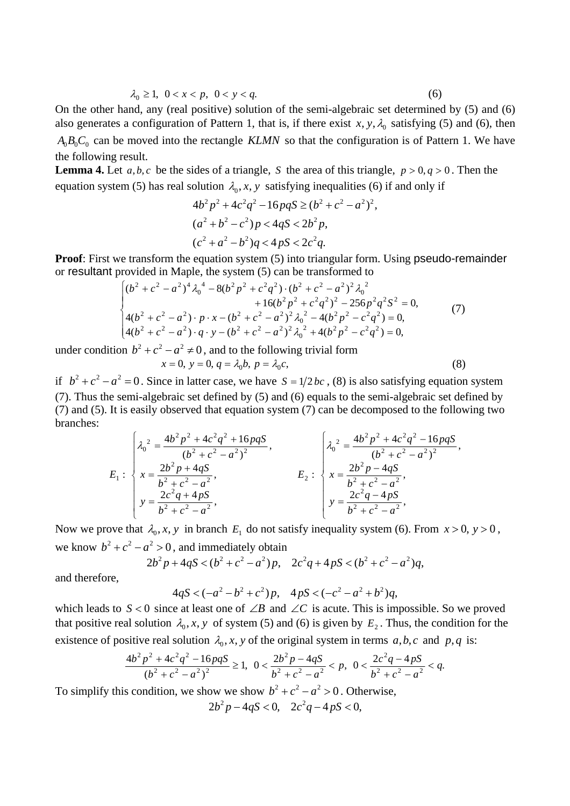$$
\lambda_0 \ge 1, \ 0 < x < p, \ 0 < y < q. \tag{6}
$$

On the other hand, any (real positive) solution of the semi-algebraic set determined by (5) and (6) also generates a configuration of Pattern 1, that is, if there exist  $x, y, \lambda_0$  satisfying (5) and (6), then  $A_0B_0C_0$  can be moved into the rectangle *KLMN* so that the configuration is of Pattern 1. We have the following result.

**Lemma 4.** Let  $a, b, c$  be the sides of a triangle, S the area of this triangle,  $p > 0, q > 0$ . Then the equation system (5) has real solution  $\lambda_0$ , x, y satisfying inequalities (6) if and only if

$$
4b2p2 + 4c2q2 - 16pqS \ge (b2 + c2 - a2)2,
$$
  
(a<sup>2</sup> + b<sup>2</sup> - c<sup>2</sup>)p < 4qS < 2b<sup>2</sup>p,  
(c<sup>2</sup> + a<sup>2</sup> - b<sup>2</sup>)q < 4pS < 2c<sup>2</sup>q.

**Proof**: First we transform the equation system (5) into triangular form. Using pseudo-remainder or resultant provided in Maple, the system (5) can be transformed to

$$
\begin{cases}\n(b^2 + c^2 - a^2)^4 \lambda_0^4 - 8(b^2 p^2 + c^2 q^2) \cdot (b^2 + c^2 - a^2)^2 \lambda_0^2 \\
+ 16(b^2 p^2 + c^2 q^2)^2 - 256 p^2 q^2 S^2 = 0, \\
4(b^2 + c^2 - a^2) \cdot p \cdot x - (b^2 + c^2 - a^2)^2 \lambda_0^2 - 4(b^2 p^2 - c^2 q^2) = 0, \\
4(b^2 + c^2 - a^2) \cdot q \cdot y - (b^2 + c^2 - a^2)^2 \lambda_0^2 + 4(b^2 p^2 - c^2 q^2) = 0,\n\end{cases}
$$
\n(7)

under condition  $b^2 + c^2 - a^2 \neq 0$ , and to the following trivial form  $x = 0$ ,  $y = 0$ ,  $q = \lambda_0 b$ ,  $p = \lambda_0 c$ ,

$$
(8)
$$

if  $b^2 + c^2 - a^2 = 0$ . Since in latter case, we have  $S = 1/2 bc$ , (8) is also satisfying equation system (7). Thus the semi-algebraic set defined by (5) and (6) equals to the semi-algebraic set defined by (7) and (5). It is easily observed that equation system (7) can be decomposed to the following two branches:

$$
E_1: \begin{cases} \lambda_0^2 = \frac{4b^2p^2 + 4c^2q^2 + 16pqS}{(b^2 + c^2 - a^2)^2}, \\ x = \frac{2b^2p + 4qS}{b^2 + c^2 - a^2}, \\ y = \frac{2c^2q + 4pS}{b^2 + c^2 - a^2}, \end{cases} \qquad E_2: \begin{cases} \lambda_0^2 = \frac{4b^2p^2 + 4c^2q^2 - 16pqS}{(b^2 + c^2 - a^2)^2}, \\ x = \frac{2b^2p - 4qS}{b^2 + c^2 - a^2}, \\ y = \frac{2c^2q - 4pS}{b^2 + c^2 - a^2}, \end{cases}
$$

Now we prove that  $\lambda_0$ , *x*, *y* in branch  $E_1$  do not satisfy inequality system (6). From  $x > 0$ ,  $y > 0$ , we know  $b^2 + c^2 - a^2 > 0$ , and immediately obtain

$$
2b^2p + 4qS < (b^2 + c^2 - a^2)p, \quad 2c^2q + 4pS < (b^2 + c^2 - a^2)q,
$$

and therefore,

$$
4qS < (-a^2 - b^2 + c^2)p, \quad 4pS < (-c^2 - a^2 + b^2)q,
$$

which leads to  $S < 0$  since at least one of ∠*B* and ∠*C* is acute. This is impossible. So we proved that positive real solution  $\lambda_0$ , *x*, *y* of system (5) and (6) is given by  $E_2$ . Thus, the condition for the existence of positive real solution  $\lambda_0$ , x, y of the original system in terms  $a, b, c$  and  $p, q$  is:

$$
\frac{4b^2p^2+4c^2q^2-16pqS}{(b^2+c^2-a^2)^2} \ge 1, \ \ 0<\frac{2b^2p-4qS}{b^2+c^2-a^2} < p, \ \ 0<\frac{2c^2q-4pS}{b^2+c^2-a^2} < q.
$$

To simplify this condition, we show we show  $b^2 + c^2 - a^2 > 0$ . Otherwise,

$$
2b^2p - 4qS < 0, \quad 2c^2q - 4pS < 0,
$$